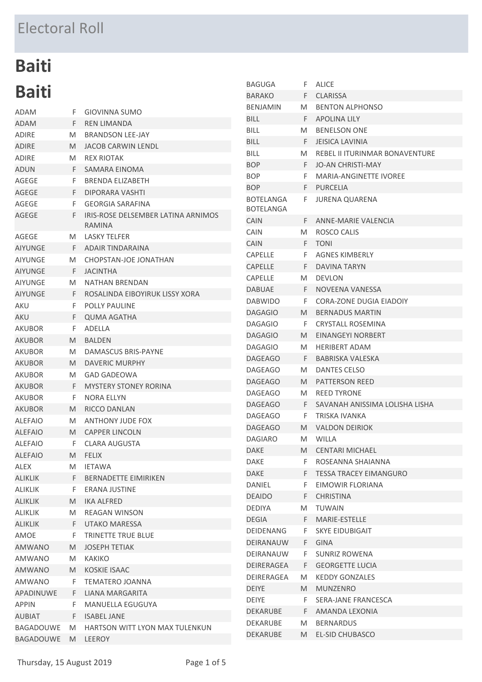#### Electoral Roll

# **Baiti Baiti**

| Baiti            |    |                                      | <b>BARAKO</b>    | F  | <b>CLARISSA</b>                |
|------------------|----|--------------------------------------|------------------|----|--------------------------------|
| ADAM             | F. | <b>GIOVINNA SUMO</b>                 | <b>BENJAMIN</b>  | M  | <b>BENTON ALPHONSO</b>         |
| ADAM             |    | F REN LIMANDA                        | <b>BILL</b>      | F  | APOLINA LILY                   |
| ADIRE            | M  | <b>BRANDSON LEE-JAY</b>              | <b>BILL</b>      | M  | <b>BENELSON ONE</b>            |
| <b>ADIRE</b>     | M  | <b>JACOB CARWIN LENDL</b>            | <b>BILL</b>      | F. | <b>JEISICA LAVINIA</b>         |
| ADIRE            | M  | <b>REX RIOTAK</b>                    | <b>BILL</b>      | M  | REBEL II ITURINMAR BONAVENTURE |
| <b>ADUN</b>      | F. | SAMARA EINOMA                        | <b>BOP</b>       | F. | <b>JO-AN CHRISTI-MAY</b>       |
| AGEGE            | F. | <b>BRENDA ELIZABETH</b>              | <b>BOP</b>       | F. | <b>MARIA-ANGINETTE IVOREE</b>  |
| AGEGE            | F. | <b>DIPORARA VASHTI</b>               | <b>BOP</b>       | F. | <b>PURCELIA</b>                |
| AGEGE            | F. | <b>GEORGIA SARAFINA</b>              | <b>BOTELANGA</b> | F. | <b>JURENA QUARENA</b>          |
| AGEGE            |    | F IRIS-ROSE DELSEMBER LATINA ARNIMOS | <b>BOTELANGA</b> |    |                                |
|                  |    | RAMINA                               | CAIN             | F. | ANNE-MARIE VALENCIA            |
| AGEGE            | M  | <b>LASKY TELFER</b>                  | <b>CAIN</b>      | M  | ROSCO CALIS                    |
| AIYUNGE          | F. | ADAIR TINDARAINA                     | CAIN             | F. | <b>TONI</b>                    |
| <b>AIYUNGE</b>   | M  | CHOPSTAN-JOE JONATHAN                | CAPELLE          | F. | AGNES KIMBERLY                 |
| <b>AIYUNGE</b>   | F  | JACINTHA                             | <b>CAPELLE</b>   | F  | <b>DAVINA TARYN</b>            |
| <b>AIYUNGE</b>   | M  | NATHAN BRENDAN                       | CAPELLE          | M  | <b>DEVLON</b>                  |
| <b>AIYUNGE</b>   | F. | ROSALINDA EIBOYIRUK LISSY XORA       | <b>DABUAE</b>    | F. | NOVEENA VANESSA                |
| AKU              | F. | <b>POLLY PAULINE</b>                 | DABWIDO          | F  | CORA-ZONE DUGIA EIADOIY        |
| AKU              | F. | QUMA AGATHA                          | <b>DAGAGIO</b>   | M  | <b>BERNADUS MARTIN</b>         |
| AKUBOR           | F. | ADELLA                               | <b>DAGAGIO</b>   | F  | <b>CRYSTALL ROSEMINA</b>       |
| <b>AKUBOR</b>    | M  | <b>BALDEN</b>                        | <b>DAGAGIO</b>   | M  | EINANGEYI NORBERT              |
| AKUBOR           | M  | DAMASCUS BRIS-PAYNE                  | DAGAGIO          | M  | <b>HERIBERT ADAM</b>           |
| <b>AKUBOR</b>    | M  | <b>DAVERIC MURPHY</b>                | DAGEAGO          | F  | <b>BABRISKA VALESKA</b>        |
| <b>AKUBOR</b>    | M  | <b>GAD GADEOWA</b>                   | DAGEAGO          | M  | DANTES CELSO                   |
| AKUBOR           | F. | <b>MYSTERY STONEY RORINA</b>         | <b>DAGEAGO</b>   | M  | <b>PATTERSON REED</b>          |
| <b>AKUBOR</b>    | F  | NORA ELLYN                           | DAGEAGO          | M  | <b>REED TYRONE</b>             |
| <b>AKUBOR</b>    | M  | <b>RICCO DANLAN</b>                  | <b>DAGEAGO</b>   | F. | SAVANAH ANISSIMA LOLISHA LISHA |
| <b>ALEFAIO</b>   | M  | <b>ANTHONY JUDE FOX</b>              | DAGEAGO          | F  | TRISKA IVANKA                  |
| <b>ALEFAIO</b>   | M  | <b>CAPPER LINCOLN</b>                | <b>DAGEAGO</b>   | M  | <b>VALDON DEIRIOK</b>          |
| <b>ALEFAIO</b>   | F. | <b>CLARA AUGUSTA</b>                 | <b>DAGIARO</b>   | M  | <b>WILLA</b>                   |
| <b>ALEFAIO</b>   | M  | <b>FELIX</b>                         | DAKE             | M  | <b>CENTARI MICHAEL</b>         |
| ALEX             | M  | <b>IETAWA</b>                        | DAKE             | F. | ROSEANNA SHAIANNA              |
| <b>ALIKLIK</b>   | F. | <b>BERNADETTE EIMIRIKEN</b>          | DAKE             |    | F TESSA TRACEY EIMANGURO       |
| <b>ALIKLIK</b>   | F  | ERANA JUSTINE                        | <b>DANIEL</b>    | F  | EIMOWIR FLORIANA               |
| <b>ALIKLIK</b>   | M  | <b>IKA ALFRED</b>                    | <b>DEAIDO</b>    | F. | <b>CHRISTINA</b>               |
| <b>ALIKLIK</b>   | M  | <b>REAGAN WINSON</b>                 | <b>DEDIYA</b>    | M  | <b>TUWAIN</b>                  |
| <b>ALIKLIK</b>   | F. | UTAKO MARESSA                        | <b>DEGIA</b>     | F  | <b>MARIE-ESTELLE</b>           |
| AMOE             | F. | TRINETTE TRUE BLUE                   | <b>DEIDENANG</b> | F. | <b>SKYE EIDUBIGAIT</b>         |
| <b>AMWANO</b>    | M  | <b>JOSEPH TETIAK</b>                 | DEIRANAUW        | F. | <b>GINA</b>                    |
| AMWANO           | M  | <b>KAKIKO</b>                        | DEIRANAUW        | F. | <b>SUNRIZ ROWENA</b>           |
| <b>AMWANO</b>    | M  | KOSKIE ISAAC                         | DEIRERAGEA       | F. | <b>GEORGETTE LUCIA</b>         |
| AMWANO           | F  | <b>TEMATERO JOANNA</b>               | DEIRERAGEA       | M  | <b>KEDDY GONZALES</b>          |
| APADINUWE        | F. | LIANA MARGARITA                      | DEIYE            | M  | <b>MUNZENRO</b>                |
| <b>APPIN</b>     | F. | MANUELLA EGUGUYA                     | <b>DEIYE</b>     | F. | SERA-JANE FRANCESCA            |
| <b>AUBIAT</b>    |    | F ISABEL JANE                        | <b>DEKARUBE</b>  | F. | AMANDA LEXONIA                 |
| BAGADOUWE        | M  | HARTSON WITT LYON MAX TULENKUN       | <b>DEKARUBE</b>  | M  | <b>BERNARDUS</b>               |
| <b>BAGADOUWE</b> | M  | LEEROY                               | <b>DEKARUBE</b>  | M  | <b>EL-SID CHUBASCO</b>         |
|                  |    |                                      |                  |    |                                |

BAGUGA F ALICE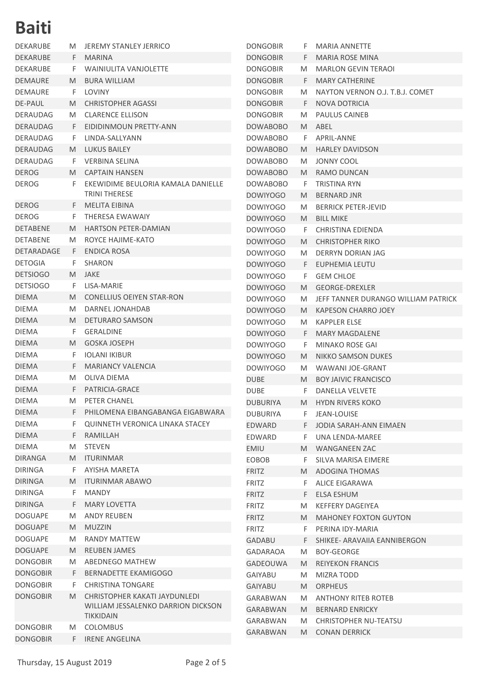| DEKARUBE        | M  | JEREMY STANLEY JERRICO                                 | <b>DONGOBIR</b> | F  | <b>MARIA ANNETTE</b>                |
|-----------------|----|--------------------------------------------------------|-----------------|----|-------------------------------------|
| DEKARUBE        | F. | <b>MARINA</b>                                          | <b>DONGOBIR</b> | F  | MARIA ROSE MINA                     |
| DEKARUBE        | F. | <b>WAINIULITA VANJOLETTE</b>                           | <b>DONGOBIR</b> | M  | <b>MARLON GEVIN TERAOI</b>          |
| <b>DEMAURE</b>  | M  | <b>BURA WILLIAM</b>                                    | <b>DONGOBIR</b> | F  | <b>MARY CATHERINE</b>               |
| <b>DEMAURE</b>  | F. | <b>LOVINY</b>                                          | <b>DONGOBIR</b> | M  | NAYTON VERNON O.J. T.B.J. COMET     |
| <b>DE-PAUL</b>  | M  | <b>CHRISTOPHER AGASSI</b>                              | <b>DONGOBIR</b> | F. | NOVA DOTRICIA                       |
| DERAUDAG        | M  | <b>CLARENCE ELLISON</b>                                | <b>DONGOBIR</b> | M  | <b>PAULUS CAINEB</b>                |
| DERAUDAG        | F. | EIDIDINMOUN PRETTY-ANN                                 | <b>DOWABOBO</b> | M  | ABEL                                |
| DERAUDAG        | F. | LINDA-SALLYANN                                         | <b>DOWABOBO</b> | F. | APRIL-ANNE                          |
| DERAUDAG        | M  | <b>LUKUS BAILEY</b>                                    | <b>DOWABOBO</b> | M  | <b>HARLEY DAVIDSON</b>              |
| <b>DERAUDAG</b> | F. | <b>VERBINA SELINA</b>                                  | <b>DOWABOBO</b> | M  | JONNY COOL                          |
| <b>DEROG</b>    | M. | <b>CAPTAIN HANSEN</b>                                  | <b>DOWABOBO</b> | M  | RAMO DUNCAN                         |
| DEROG           | F. | EKEWIDIME BEULORIA KAMALA DANIELLE                     | <b>DOWABOBO</b> | F  | <b>TRISTINA RYN</b>                 |
|                 |    | <b>TRINI THERESE</b>                                   | <b>DOWIYOGO</b> | M  | BERNARD JNR                         |
| <b>DEROG</b>    |    | F MELITA EIBINA                                        | <b>DOWIYOGO</b> | M  | <b>BERRICK PETER-JEVID</b>          |
| <b>DEROG</b>    | F. | THERESA EWAWAIY                                        | <b>DOWIYOGO</b> | M  | <b>BILL MIKE</b>                    |
| <b>DETABENE</b> | M  | <b>HARTSON PETER-DAMIAN</b>                            | DOWIYOGO        | F. | CHRISTINA EDIENDA                   |
| <b>DETABENE</b> | M  | ROYCE HAJIME-KATO                                      | <b>DOWIYOGO</b> | M  | <b>CHRISTOPHER RIKO</b>             |
| DETARADAGE      | F. | <b>ENDICA ROSA</b>                                     | <b>DOWIYOGO</b> | M  | DERRYN DORIAN JAG                   |
| <b>DETOGIA</b>  | F. | SHARON                                                 | <b>DOWIYOGO</b> | F. | EUPHEMIA LEUTU                      |
| <b>DETSIOGO</b> | M  | JAKE                                                   | <b>DOWIYOGO</b> | F. | <b>GEM CHLOE</b>                    |
| <b>DETSIOGO</b> | F. | LISA-MARIE                                             | <b>DOWIYOGO</b> | M  | <b>GEORGE-DREXLER</b>               |
| <b>DIEMA</b>    | M. | <b>CONELLIUS OEIYEN STAR-RON</b>                       | <b>DOWIYOGO</b> | M  | JEFF TANNER DURANGO WILLIAM PATRICK |
| <b>DIEMA</b>    | M  | DARNEL JONAHDAB                                        | <b>DOWIYOGO</b> | M  | KAPESON CHARRO JOEY                 |
| <b>DIEMA</b>    | M  | <b>DETURARO SAMSON</b>                                 | DOWIYOGO        | M  | KAPPLER ELSE                        |
| <b>DIEMA</b>    | F  | <b>GERALDINE</b>                                       | <b>DOWIYOGO</b> | F  | <b>MARY MAGDALENE</b>               |
| <b>DIEMA</b>    | M  | <b>GOSKA JOSEPH</b>                                    | <b>DOWIYOGO</b> | F  | MINAKO ROSE GAI                     |
| <b>DIEMA</b>    | F. | <b>IOLANI IKIBUR</b>                                   | <b>DOWIYOGO</b> | M  | NIKKO SAMSON DUKES                  |
| <b>DIEMA</b>    | F. | <b>MARIANCY VALENCIA</b>                               | <b>DOWIYOGO</b> | M  | WAWANI JOE-GRANT                    |
| <b>DIEMA</b>    | M  | OLIVA DIEMA                                            | <b>DUBE</b>     | M  | <b>BOY JAIVIC FRANCISCO</b>         |
| <b>DIEMA</b>    | F. | PATRICIA-GRACE                                         | <b>DUBE</b>     | F. | <b>DANELLA VELVETE</b>              |
| <b>DIEMA</b>    | M  | PETER CHANEL                                           | <b>DUBURIYA</b> |    | M HYDN RIVERS KOKO                  |
| <b>DIEMA</b>    | F. | PHILOMENA EIBANGABANGA EIGABWARA                       | <b>DUBURIYA</b> | F. | JEAN-LOUISE                         |
| <b>DIEMA</b>    | F. | QUINNETH VERONICA LINAKA STACEY                        | EDWARD          | F. | JODIA SARAH-ANN EIMAEN              |
| <b>DIEMA</b>    | F. | RAMILLAH                                               |                 |    | UNA LENDA-MAREE                     |
| <b>DIEMA</b>    | M  | <b>STEVEN</b>                                          | EDWARD          | F  |                                     |
| <b>DIRANGA</b>  | M  | <b>ITURINMAR</b>                                       | <b>EMIU</b>     | M  | WANGANEEN ZAC                       |
| <b>DIRINGA</b>  |    | AYISHA MARETA                                          | <b>EOBOB</b>    | F  | SILVA MARISA EIMERE                 |
| <b>DIRINGA</b>  | M  | <b>ITURINMAR ABAWO</b>                                 | <b>FRITZ</b>    | M  | ADOGINA THOMAS                      |
| <b>DIRINGA</b>  | F  | <b>MANDY</b>                                           | <b>FRITZ</b>    | F  | ALICE EIGARAWA                      |
| <b>DIRINGA</b>  | F. | <b>MARY LOVETTA</b>                                    | <b>FRITZ</b>    | F. | <b>ELSA ESHUM</b>                   |
| <b>DOGUAPE</b>  |    | <b>ANDY REUBEN</b>                                     | <b>FRITZ</b>    | M  | <b>KEFFERY DAGEIYEA</b>             |
|                 | M  |                                                        | <b>FRITZ</b>    | M  | <b>MAHONEY FOXTON GUYTON</b>        |
| <b>DOGUAPE</b>  | M  | MUZZIN<br><b>RANDY MATTEW</b>                          | <b>FRITZ</b>    | F. | PERINA IDY-MARIA                    |
| <b>DOGUAPE</b>  | M  |                                                        | <b>GADABU</b>   | F. | SHIKEE- ARAVAIIA EANNIBERGON        |
| <b>DOGUAPE</b>  | M  | <b>REUBEN JAMES</b>                                    | <b>GADARAOA</b> | M  | BOY-GEORGE                          |
| <b>DONGOBIR</b> | M  | ABEDNEGO MATHEW                                        | <b>GADEOUWA</b> | M  | <b>REIYEKON FRANCIS</b>             |
| <b>DONGOBIR</b> | F. | <b>BERNADETTE EKAMIGOGO</b>                            | GAIYABU         | M  | MIZRA TODD                          |
| <b>DONGOBIR</b> | F. | <b>CHRISTINA TONGARE</b>                               | <b>GAIYABU</b>  | M  | <b>ORPHEUS</b>                      |
| <b>DONGOBIR</b> | M  | CHRISTOPHER KAKATI JAYDUNLEDI                          | <b>GARABWAN</b> | M  | <b>ANTHONY RITEB ROTEB</b>          |
|                 |    | WILLIAM JESSALENKO DARRION DICKSON<br><b>TIKKIDAIN</b> | <b>GARABWAN</b> | M  | <b>BERNARD ENRICKY</b>              |
| <b>DONGOBIR</b> | M  | <b>COLOMBUS</b>                                        | GARABWAN        | M  | <b>CHRISTOPHER NU-TEATSU</b>        |
| <b>DONGOBIR</b> | F. | <b>IRENE ANGELINA</b>                                  | <b>GARABWAN</b> | M  | <b>CONAN DERRICK</b>                |
|                 |    |                                                        |                 |    |                                     |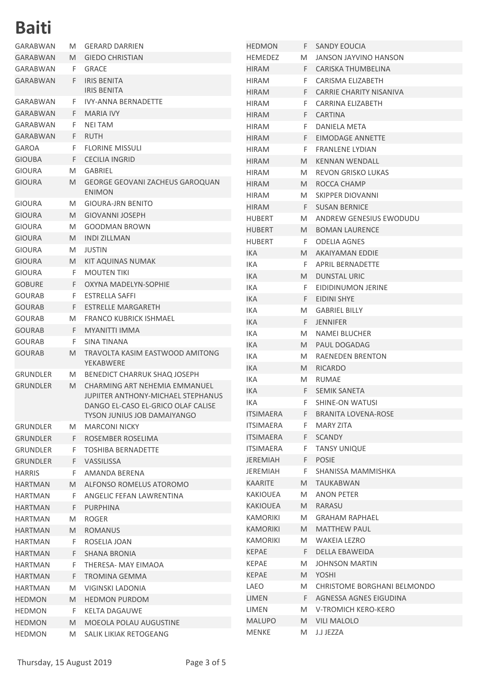| <b>GARABWAN</b> | M  | <b>GERARD DARRIEN</b>                                                                                                                           | <b>HEDMON</b>    | F   | <b>SANDY EOUCIA</b>         |
|-----------------|----|-------------------------------------------------------------------------------------------------------------------------------------------------|------------------|-----|-----------------------------|
| GARABWAN        | M  | <b>GIEDO CHRISTIAN</b>                                                                                                                          | <b>HEMEDEZ</b>   | M   | JANSON JAYVINO HANSON       |
| GARABWAN        | F. | <b>GRACE</b>                                                                                                                                    | <b>HIRAM</b>     | F.  | CARISKA THUMBELINA          |
| GARABWAN        | F. | <b>IRIS BENITA</b>                                                                                                                              | <b>HIRAM</b>     | F.  | CARISMA ELIZABETH           |
|                 |    | IRIS BENITA                                                                                                                                     | <b>HIRAM</b>     |     | F CARRIE CHARITY NISANIVA   |
| <b>GARABWAN</b> | F. | <b>IVY-ANNA BERNADETTE</b>                                                                                                                      | <b>HIRAM</b>     | F.  | CARRINA ELIZABETH           |
| GARABWAN        | F. | <b>MARIA IVY</b>                                                                                                                                | <b>HIRAM</b>     | F.  | <b>CARTINA</b>              |
| GARABWAN        | F. | <b>NEI TAM</b>                                                                                                                                  | <b>HIRAM</b>     | F   | DANIELA META                |
| GARABWAN        | F. | <b>RUTH</b>                                                                                                                                     | <b>HIRAM</b>     |     | <b>F</b> EIMODAGE ANNETTE   |
| <b>GAROA</b>    | F. | <b>FLORINE MISSULI</b>                                                                                                                          | <b>HIRAM</b>     | F   | <b>FRANLENE LYDIAN</b>      |
| <b>GIOUBA</b>   | F. | <b>CECILIA INGRID</b>                                                                                                                           | <b>HIRAM</b>     | M   | <b>KENNAN WENDALL</b>       |
| <b>GIOURA</b>   | M  | <b>GABRIEL</b>                                                                                                                                  | <b>HIRAM</b>     | M   | REVON GRISKO LUKAS          |
| <b>GIOURA</b>   | M  | <b>GEORGE GEOVANI ZACHEUS GAROQUAN</b>                                                                                                          | <b>HIRAM</b>     | M   | ROCCA CHAMP                 |
|                 |    | <b>ENIMON</b>                                                                                                                                   | <b>HIRAM</b>     | M   | SKIPPER DIOVANNI            |
| <b>GIOURA</b>   | M  | <b>GIOURA-JRN BENITO</b>                                                                                                                        | <b>HIRAM</b>     | F.  | <b>SUSAN BERNICE</b>        |
| <b>GIOURA</b>   | M  | <b>GIOVANNI JOSEPH</b>                                                                                                                          | <b>HUBERT</b>    | M   | ANDREW GENESIUS EWODUDU     |
| <b>GIOURA</b>   | M  | <b>GOODMAN BROWN</b>                                                                                                                            | <b>HUBERT</b>    | M   | <b>BOMAN LAURENCE</b>       |
| <b>GIOURA</b>   | M  | <b>INDI ZILLMAN</b>                                                                                                                             | <b>HUBERT</b>    | F.  | <b>ODELIA AGNES</b>         |
| <b>GIOURA</b>   | M  | <b>JUSTIN</b>                                                                                                                                   | <b>IKA</b>       | M l | AKAIYAMAN EDDIE             |
| <b>GIOURA</b>   | M  | <b>KIT AQUINAS NUMAK</b>                                                                                                                        | <b>IKA</b>       | F.  | APRIL BERNADETTE            |
| <b>GIOURA</b>   | F. | <b>MOUTEN TIKI</b>                                                                                                                              | <b>IKA</b>       | M   | <b>DUNSTAL URIC</b>         |
| <b>GOBURE</b>   | F. | OXYNA MADELYN-SOPHIE                                                                                                                            | <b>IKA</b>       | F   | EIDIDINUMON JERINE          |
| <b>GOURAB</b>   | F. | <b>ESTRELLA SAFFI</b>                                                                                                                           | IKA              | F   | EIDINI SHYE                 |
| <b>GOURAB</b>   | F. | <b>ESTRELLE MARGARETH</b>                                                                                                                       | <b>IKA</b>       | M   | <b>GABRIEL BILLY</b>        |
| <b>GOURAB</b>   | M  | FRANCO KUBRICK ISHMAEL                                                                                                                          | IKA              | F.  | <b>JENNIFER</b>             |
| <b>GOURAB</b>   | F. | <b>MYANITTI IMMA</b>                                                                                                                            | <b>IKA</b>       | M   | <b>NAMEI BLUCHER</b>        |
| <b>GOURAB</b>   | F. | SINA TINANA                                                                                                                                     | <b>IKA</b>       | M   | PAUL DOGADAG                |
| <b>GOURAB</b>   | M  | TRAVOLTA KASIM EASTWOOD AMITONG                                                                                                                 | <b>IKA</b>       | M   | <b>RAENEDEN BRENTON</b>     |
|                 |    | YEKABWERE                                                                                                                                       | <b>IKA</b>       | M   | <b>RICARDO</b>              |
| GRUNDLER        | M  | BENEDICT CHARRUK SHAQ JOSEPH                                                                                                                    | <b>IKA</b>       | M   | RUMAE                       |
| <b>GRUNDLER</b> | M  | CHARMING ART NEHEMIA EMMANUEL<br><b>JUPIITER ANTHONY-MICHAEL STEPHANUS</b><br>DANGO EL-CASO EL-GRICO OLAF CALISE<br>TYSON JUNIUS JOB DAMAIYANGO | <b>IKA</b>       |     | F SEMIK SANETA              |
|                 |    |                                                                                                                                                 | IKA              | F   | SHINE-ON WATUSI             |
|                 |    |                                                                                                                                                 | <b>ITSIMAERA</b> | F.  | BRANITA LOVENA-ROSE         |
| GRUNDLER        |    | <b>MARCONI NICKY</b>                                                                                                                            | <b>ITSIMAERA</b> | F   | MARY ZITA                   |
| <b>GRUNDLER</b> | M  | ROSEMBER ROSELIMA                                                                                                                               | <b>ITSIMAERA</b> |     | F SCANDY                    |
| GRUNDLER        | F. | <b>TOSHIBA BERNADETTE</b>                                                                                                                       | <b>ITSIMAERA</b> | F.  | <b>TANSY UNIQUE</b>         |
|                 | F. |                                                                                                                                                 | <b>JEREMIAH</b>  | F.  | <b>POSIE</b>                |
| <b>GRUNDLER</b> |    | F VASSILISSA                                                                                                                                    | JEREMIAH         | F   | SHANISSA MAMMISHKA          |
| <b>HARRIS</b>   | F. | AMANDA BERENA<br>M ALFONSO ROMELUS ATOROMO                                                                                                      | KAARITE          | M   | TAUKABWAN                   |
| <b>HARTMAN</b>  |    |                                                                                                                                                 | <b>KAKIOUEA</b>  | M   | <b>ANON PETER</b>           |
| <b>HARTMAN</b>  | F. | ANGELIC FEFAN LAWRENTINA                                                                                                                        | <b>KAKIOUEA</b>  | M   | RARASU                      |
| <b>HARTMAN</b>  | F. | PURPHINA                                                                                                                                        | KAMORIKI         | M   | <b>GRAHAM RAPHAEL</b>       |
| <b>HARTMAN</b>  | M  | ROGER                                                                                                                                           | <b>KAMORIKI</b>  | M   | <b>MATTHEW PAUL</b>         |
| <b>HARTMAN</b>  | M  | <b>ROMANUS</b>                                                                                                                                  | <b>KAMORIKI</b>  | M   | <b>WAKEIA LEZRO</b>         |
| <b>HARTMAN</b>  | F. | ROSELIA JOAN                                                                                                                                    | KEPAE            | F.  | DELLA EBAWEIDA              |
| <b>HARTMAN</b>  | F. | <b>SHANA BRONIA</b>                                                                                                                             | KEPAE            | M   | <b>JOHNSON MARTIN</b>       |
| <b>HARTMAN</b>  | F. | THERESA- MAY EIMAOA                                                                                                                             | KEPAE            | M   | YOSHI                       |
| <b>HARTMAN</b>  | F. | <b>TROMINA GEMMA</b>                                                                                                                            |                  |     |                             |
| <b>HARTMAN</b>  | M  | VIGINSKI LADONIA                                                                                                                                | LAEO             | M   | CHRISTOME BORGHANI BELMONDO |
| <b>HEDMON</b>   | M. | <b>HEDMON PURDOM</b>                                                                                                                            | <b>LIMEN</b>     |     | F AGNESSA AGNES EIGUDINA    |
| <b>HEDMON</b>   | F. | <b>KELTA DAGAUWE</b>                                                                                                                            | LIMEN            | M   | V-TROMICH KERO-KERO         |
| <b>HEDMON</b>   | M. | MOEOLA POLAU AUGUSTINE                                                                                                                          | <b>MALUPO</b>    | M   | <b>VILI MALOLO</b>          |
| <b>HEDMON</b>   | M  | SALIK LIKIAK RETOGEANG                                                                                                                          | MENKE            | M   | J.J JEZZA                   |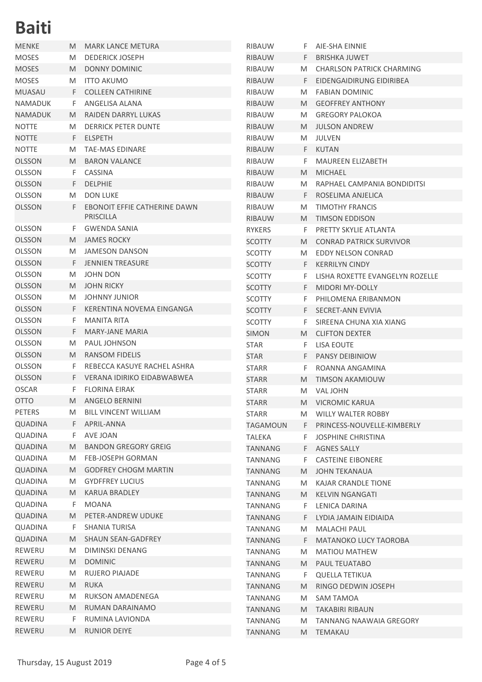| MENKE          | M  | <b>MARK LANCE METURA</b>     | RIBAUW         | F  | AIE-SHA EINNIE                  |
|----------------|----|------------------------------|----------------|----|---------------------------------|
| <b>MOSES</b>   | M  | <b>DEDERICK JOSEPH</b>       | RIBAUW         | F  | <b>BRISHKA JUWET</b>            |
| <b>MOSES</b>   | M  | DONNY DOMINIC                | RIBAUW         | M  | CHARLSON PATRICK CHARMING       |
| <b>MOSES</b>   | M  | <b>ITTO AKUMO</b>            | <b>RIBAUW</b>  | F. | EIDENGAIDIRUNG EIDIRIBEA        |
| <b>MUASAU</b>  | F. | <b>COLLEEN CATHIRINE</b>     | RIBAUW         | M  | <b>FABIAN DOMINIC</b>           |
| NAMADUK        | F. | ANGELISA ALANA               | RIBAUW         | M  | <b>GEOFFREY ANTHONY</b>         |
| NAMADUK        | M  | <b>RAIDEN DARRYL LUKAS</b>   | RIBAUW         | M  | <b>GREGORY PALOKOA</b>          |
| <b>NOTTE</b>   | M  | <b>DERRICK PETER DUNTE</b>   | RIBAUW         | M  | <b>JULSON ANDREW</b>            |
| <b>NOTTE</b>   | F. | ELSPETH                      | RIBAUW         | M  | JULVEN                          |
| <b>NOTTE</b>   | M  | <b>TAE-MAS EDINARE</b>       | RIBAUW         | F. | <b>KUTAN</b>                    |
| <b>OLSSON</b>  | M  | <b>BARON VALANCE</b>         | RIBAUW         | F. | MAUREEN ELIZABETH               |
| <b>OLSSON</b>  | F. | CASSINA                      | RIBAUW         | M  | <b>MICHAEL</b>                  |
| <b>OLSSON</b>  | F. | <b>DELPHIE</b>               | RIBAUW         | M  | RAPHAEL CAMPANIA BONDIDITSI     |
| <b>OLSSON</b>  | M  | <b>DON LUKE</b>              | RIBAUW         | F. | ROSELIMA ANJELICA               |
| <b>OLSSON</b>  | F. | EBONOIT EFFIE CATHERINE DAWN | RIBAUW         | M  | <b>TIMOTHY FRANCIS</b>          |
|                |    | PRISCILLA                    | RIBAUW         | M  | <b>TIMSON EDDISON</b>           |
| <b>OLSSON</b>  | F. | GWENDA SANIA                 | RYKERS         | F  | PRETTY SKYLIE ATLANTA           |
| <b>OLSSON</b>  | M  | <b>JAMES ROCKY</b>           | <b>SCOTTY</b>  | M  | <b>CONRAD PATRICK SURVIVOR</b>  |
| <b>OLSSON</b>  | M  | <b>JAMESON DANSON</b>        | <b>SCOTTY</b>  | M  | EDDY NELSON CONRAD              |
| <b>OLSSON</b>  | F. | JENNIEN TREASURE             | <b>SCOTTY</b>  | F. | <b>KERRILYN CINDY</b>           |
| <b>OLSSON</b>  | M  | <b>JOHN DON</b>              | <b>SCOTTY</b>  | F. | LISHA ROXETTE EVANGELYN ROZELLE |
| <b>OLSSON</b>  | M  | <b>JOHN RICKY</b>            | <b>SCOTTY</b>  | F. | <b>MIDORI MY-DOLLY</b>          |
| <b>OLSSON</b>  | M  | JOHNNY JUNIOR                | <b>SCOTTY</b>  |    | F PHILOMENA ERIBANMON           |
| <b>OLSSON</b>  | F. | KERENTINA NOVEMA EINGANGA    | <b>SCOTTY</b>  |    | F SECRET-ANN EVIVIA             |
| <b>OLSSON</b>  | F. | <b>MANITA RITA</b>           | <b>SCOTTY</b>  | F. | SIREENA CHUNA XIA XIANG         |
| <b>OLSSON</b>  | F. | <b>MARY-JANE MARIA</b>       | <b>SIMON</b>   | M  | <b>CLIFTON DEXTER</b>           |
| <b>OLSSON</b>  | M  | PAUL JOHNSON                 | <b>STAR</b>    | F. | LISA EOUTE                      |
| <b>OLSSON</b>  | M  | <b>RANSOM FIDELIS</b>        | <b>STAR</b>    |    | F PANSY DEIBINIOW               |
| <b>OLSSON</b>  | F. | REBECCA KASUYE RACHEL ASHRA  | <b>STARR</b>   | F. | ROANNA ANGAMINA                 |
| <b>OLSSON</b>  | F. | VERANA IDIRIKO EIDABWABWEA   | <b>STARR</b>   | M  | <b>TIMSON AKAMIOUW</b>          |
| <b>OSCAR</b>   | F. | <b>FLORINA EIRAK</b>         | <b>STARR</b>   | M  | <b>VAL JOHN</b>                 |
| <b>OTTO</b>    | M  | ANGELO BERNINI               | STARR          |    | M VICROMIC KARUA                |
| <b>PETERS</b>  | M  | <b>BILL VINCENT WILLIAM</b>  | <b>STARR</b>   | M  | WILLY WALTER ROBBY              |
| <b>QUADINA</b> | F. | APRIL-ANNA                   | TAGAMOUN       | F. | PRINCESS-NOUVELLE-KIMBERLY      |
| <b>QUADINA</b> | F. | AVE JOAN                     | <b>TALEKA</b>  | F  | <b>JOSPHINE CHRISTINA</b>       |
| <b>QUADINA</b> | M  | <b>BANDON GREGORY GREIG</b>  | TANNANG        |    | F AGNES SALLY                   |
| <b>QUADINA</b> | M  | <b>FEB-JOSEPH GORMAN</b>     | <b>TANNANG</b> | F. | <b>CASTEINE EIBONERE</b>        |
| <b>QUADINA</b> | M  | <b>GODFREY CHOGM MARTIN</b>  | TANNANG        | M  | JOHN TEKANAUA                   |
| <b>QUADINA</b> | M  | <b>GYDFFREY LUCIUS</b>       | TANNANG        | M  | <b>KAJAR CRANDLE TIONE</b>      |
| <b>QUADINA</b> | M  | <b>KARUA BRADLEY</b>         | <b>TANNANG</b> | M  | <b>KELVIN NGANGATI</b>          |
| <b>QUADINA</b> | F  | <b>MOANA</b>                 | TANNANG        | F  | LENICA DARINA                   |
| <b>QUADINA</b> | M  | PETER-ANDREW UDUKE           | TANNANG        | F. | LYDIA JAMAIN EIDIAIDA           |
| <b>QUADINA</b> | F. | SHANIA TURISA                | TANNANG        | M  | <b>MALACHI PAUL</b>             |
| <b>QUADINA</b> | M  | <b>SHAUN SEAN-GADFREY</b>    | <b>TANNANG</b> | F  | <b>MATANOKO LUCY TAOROBA</b>    |
| REWERU         | M  | <b>DIMINSKI DENANG</b>       | <b>TANNANG</b> | M  | <b>MATIOU MATHEW</b>            |
| REWERU         | M  | <b>DOMINIC</b>               | <b>TANNANG</b> | M  | PAUL TEUATABO                   |
| <b>REWERU</b>  | M  | <b>RUJERO PIAJADE</b>        | TANNANG        | F. | <b>QUELLA TETIKUA</b>           |
| <b>REWERU</b>  | M  | <b>RUKA</b>                  | TANNANG        | M  | RINGO DEDWIN JOSEPH             |
| REWERU         | M  | <b>RUKSON AMADENEGA</b>      | TANNANG        | M  | SAM TAMOA                       |
| REWERU         | M  | RUMAN DARAINAMO              | <b>TANNANG</b> | M  | <b>TAKABIRI RIBAUN</b>          |
| REWERU         | F  | RUMINA LAVIONDA              | <b>TANNANG</b> | M  | <b>TANNANG NAAWAIA GREGORY</b>  |
| REWERU         | M  | <b>RUNIOR DEIYE</b>          | <b>TANNANG</b> | M  | TEMAKAU                         |
|                |    |                              |                |    |                                 |